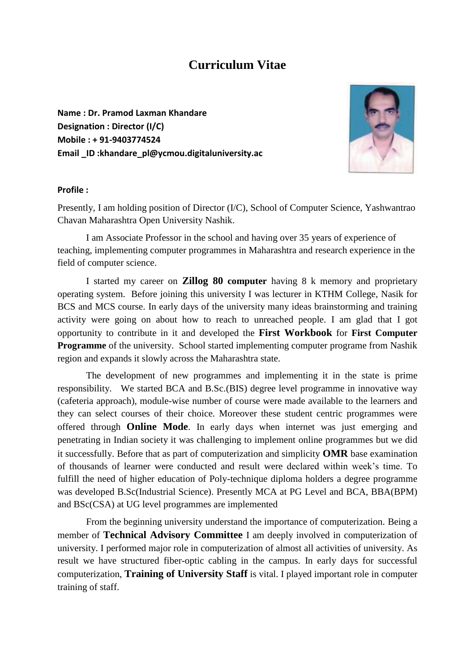# **Curriculum Vitae**

**Name : Dr. Pramod Laxman Khandare Designation : Director (I/C) Mobile : + 91-9403774524 Email \_ID :khandare\_pl@ycmou.digitaluniversity.ac**



### **Profile :**

Presently, I am holding position of Director (I/C), School of Computer Science, Yashwantrao Chavan Maharashtra Open University Nashik.

I am Associate Professor in the school and having over 35 years of experience of teaching, implementing computer programmes in Maharashtra and research experience in the field of computer science.

I started my career on **Zillog 80 computer** having 8 k memory and proprietary operating system. Before joining this university I was lecturer in KTHM College, Nasik for BCS and MCS course. In early days of the university many ideas brainstorming and training activity were going on about how to reach to unreached people. I am glad that I got opportunity to contribute in it and developed the **First Workbook** for **First Computer Programme** of the university. School started implementing computer programe from Nashik region and expands it slowly across the Maharashtra state.

The development of new programmes and implementing it in the state is prime responsibility. We started BCA and B.Sc.(BIS) degree level programme in innovative way (cafeteria approach), module-wise number of course were made available to the learners and they can select courses of their choice. Moreover these student centric programmes were offered through **Online Mode**. In early days when internet was just emerging and penetrating in Indian society it was challenging to implement online programmes but we did it successfully. Before that as part of computerization and simplicity **OMR** base examination of thousands of learner were conducted and result were declared within week's time. To fulfill the need of higher education of Poly-technique diploma holders a degree programme was developed B.Sc(Industrial Science). Presently MCA at PG Level and BCA, BBA(BPM) and BSc(CSA) at UG level programmes are implemented

From the beginning university understand the importance of computerization. Being a member of **Technical Advisory Committee** I am deeply involved in computerization of university. I performed major role in computerization of almost all activities of university. As result we have structured fiber-optic cabling in the campus. In early days for successful computerization, **Training of University Staff** is vital. I played important role in computer training of staff.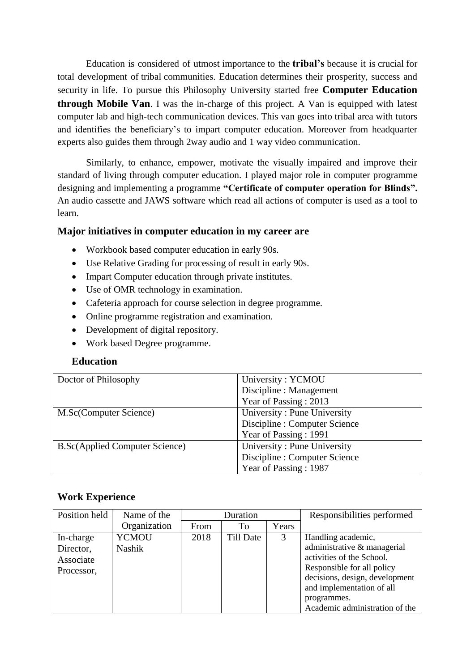Education is considered of utmost importance to the **tribal's** because it is crucial for total development of tribal communities. Education determines their prosperity, success and security in life. To pursue this Philosophy University started free **Computer Education through Mobile Van**. I was the in-charge of this project. A Van is equipped with latest computer lab and high-tech communication devices. This van goes into tribal area with tutors and identifies the beneficiary's to impart computer education. Moreover from headquarter experts also guides them through 2way audio and 1 way video communication.

Similarly, to enhance, empower, motivate the visually impaired and improve their standard of living through computer education. I played major role in computer programme designing and implementing a programme **"Certificate of computer operation for Blinds".** An audio cassette and JAWS software which read all actions of computer is used as a tool to learn.

# **Major initiatives in computer education in my career are**

- Workbook based computer education in early 90s.
- Use Relative Grading for processing of result in early 90s.
- Impart Computer education through private institutes.
- Use of OMR technology in examination.
- Cafeteria approach for course selection in degree programme.
- Online programme registration and examination.
- Development of digital repository.
- Work based Degree programme.

# **Education**

| Doctor of Philosophy                   | University: YCMOU             |
|----------------------------------------|-------------------------------|
|                                        | Discipline : Management       |
|                                        | Year of Passing: 2013         |
| M.Sc(Computer Science)                 | University: Pune University   |
|                                        | Discipline : Computer Science |
|                                        | Year of Passing: 1991         |
| <b>B.Sc</b> (Applied Computer Science) | University: Pune University   |
|                                        | Discipline : Computer Science |
|                                        | Year of Passing: 1987         |

# **Work Experience**

| Position held | Name of the   | Duration |                  |       | Responsibilities performed     |
|---------------|---------------|----------|------------------|-------|--------------------------------|
|               | Organization  | From     | To               | Years |                                |
| In-charge     | <b>YCMOU</b>  | 2018     | <b>Till Date</b> | 3     | Handling academic,             |
| Director,     | <b>Nashik</b> |          |                  |       | administrative & managerial    |
| Associate     |               |          |                  |       | activities of the School.      |
| Processor,    |               |          |                  |       | Responsible for all policy     |
|               |               |          |                  |       | decisions, design, development |
|               |               |          |                  |       | and implementation of all      |
|               |               |          |                  |       | programmes.                    |
|               |               |          |                  |       | Academic administration of the |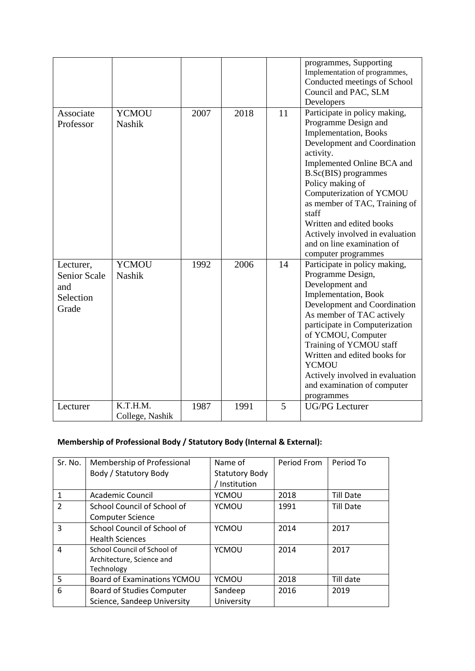|                                                               |                               |      |      |    | programmes, Supporting<br>Implementation of programmes,<br>Conducted meetings of School<br>Council and PAC, SLM<br>Developers                                                                                                                                                                                                                                                                                  |
|---------------------------------------------------------------|-------------------------------|------|------|----|----------------------------------------------------------------------------------------------------------------------------------------------------------------------------------------------------------------------------------------------------------------------------------------------------------------------------------------------------------------------------------------------------------------|
| Associate<br>Professor                                        | <b>YCMOU</b><br><b>Nashik</b> | 2007 | 2018 | 11 | Participate in policy making,<br>Programme Design and<br><b>Implementation</b> , Books<br>Development and Coordination<br>activity.<br>Implemented Online BCA and<br><b>B.Sc(BIS)</b> programmes<br>Policy making of<br>Computerization of YCMOU<br>as member of TAC, Training of<br>staff<br>Written and edited books<br>Actively involved in evaluation<br>and on line examination of<br>computer programmes |
| Lecturer,<br><b>Senior Scale</b><br>and<br>Selection<br>Grade | <b>YCMOU</b><br><b>Nashik</b> | 1992 | 2006 | 14 | Participate in policy making,<br>Programme Design,<br>Development and<br>Implementation, Book<br>Development and Coordination<br>As member of TAC actively<br>participate in Computerization<br>of YCMOU, Computer<br>Training of YCMOU staff<br>Written and edited books for<br><b>YCMOU</b><br>Actively involved in evaluation<br>and examination of computer<br>programmes                                  |
| Lecturer                                                      | K.T.H.M.<br>College, Nashik   | 1987 | 1991 | 5  | <b>UG/PG</b> Lecturer                                                                                                                                                                                                                                                                                                                                                                                          |

# **Membership of Professional Body / Statutory Body (Internal & External):**

| Sr. No.       | Membership of Professional         | Name of               | Period From | Period To        |
|---------------|------------------------------------|-----------------------|-------------|------------------|
|               | Body / Statutory Body              | <b>Statutory Body</b> |             |                  |
|               |                                    | Institution           |             |                  |
| $\mathbf{1}$  | Academic Council                   | YCMOU                 | 2018        | <b>Till Date</b> |
| $\mathcal{P}$ | School Council of School of        | <b>YCMOU</b>          | 1991        | <b>Till Date</b> |
|               | <b>Computer Science</b>            |                       |             |                  |
| 3             | School Council of School of        | <b>YCMOU</b>          | 2014        | 2017             |
|               | <b>Health Sciences</b>             |                       |             |                  |
| 4             | School Council of School of        | <b>YCMOU</b>          | 2014        | 2017             |
|               | Architecture, Science and          |                       |             |                  |
|               | Technology                         |                       |             |                  |
| 5             | <b>Board of Examinations YCMOU</b> | <b>YCMOU</b>          | 2018        | Till date        |
| 6             | <b>Board of Studies Computer</b>   | Sandeep               | 2016        | 2019             |
|               | Science, Sandeep University        | University            |             |                  |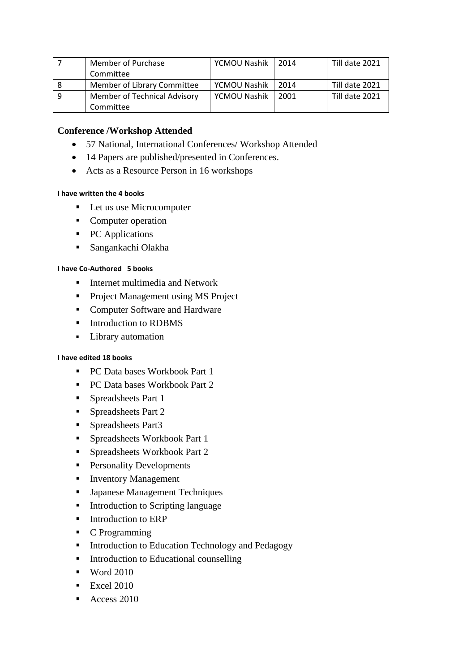| Member of Purchase           | YCMOU Nashik | 2014 | Till date 2021 |
|------------------------------|--------------|------|----------------|
| Committee                    |              |      |                |
| Member of Library Committee  | YCMOU Nashik | 2014 | Till date 2021 |
| Member of Technical Advisory | YCMOU Nashik | 2001 | Till date 2021 |
| Committee                    |              |      |                |

## **Conference /Workshop Attended**

- 57 National, International Conferences/ Workshop Attended
- 14 Papers are published/presented in Conferences.
- Acts as a Resource Person in 16 workshops

#### **I have written the 4 books**

- Let us use Microcomputer
- Computer operation
- PC Applications
- Sangankachi Olakha

#### **I have Co-Authored 5 books**

- **Internet multimedia and Network**
- **Project Management using MS Project**
- Computer Software and Hardware
- **Introduction to RDBMS**
- **Library automation**

### **I have edited 18 books**

- PC Data bases Workbook Part 1
- PC Data bases Workbook Part 2
- **Spreadsheets Part 1**
- **Spreadsheets Part 2**
- Spreadsheets Part3
- Spreadsheets Workbook Part 1
- **Spreadsheets Workbook Part 2**
- **Personality Developments**
- **Inventory Management**
- **Japanese Management Techniques**
- Introduction to Scripting language
- **Introduction to ERP**
- C Programming
- **Introduction to Education Technology and Pedagogy**
- **Introduction to Educational counselling**
- $\blacksquare$  Word 2010
- $\blacksquare$  Excel 2010
- Access 2010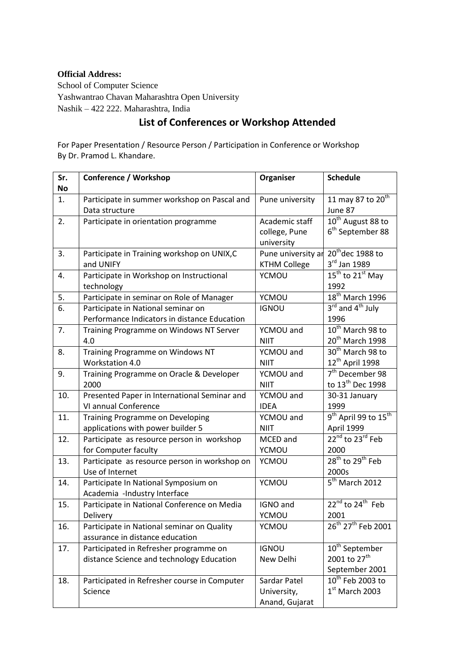#### **Official Address:**

School of Computer Science Yashwantrao Chavan Maharashtra Open University Nashik – 422 222. Maharashtra, India

# **List of Conferences or Workshop Attended**

For Paper Presentation / Resource Person / Participation in Conference or Workshop By Dr. Pramod L. Khandare.

| Sr.       | <b>Conference / Workshop</b>                  | Organiser           | <b>Schedule</b>                              |
|-----------|-----------------------------------------------|---------------------|----------------------------------------------|
| <b>No</b> |                                               |                     |                                              |
| 1.        | Participate in summer workshop on Pascal and  | Pune university     | 11 may 87 to 20 <sup>th</sup>                |
|           | Data structure                                |                     | June 87                                      |
| 2.        | Participate in orientation programme          | Academic staff      | 10 <sup>th</sup> August 88 to                |
|           |                                               | college, Pune       | 6 <sup>th</sup> September 88                 |
|           |                                               | university          |                                              |
| 3.        | Participate in Training workshop on UNIX, C   | Pune university ar  | $20th$ dec 1988 to                           |
|           | and UNIFY                                     | <b>KTHM College</b> | 3rd Jan 1989                                 |
| 4.        | Participate in Workshop on Instructional      | <b>YCMOU</b>        | $15^{th}$ to $21^{st}$ May                   |
|           | technology                                    |                     | 1992                                         |
| 5.        | Participate in seminar on Role of Manager     | YCMOU               | 18 <sup>th</sup> March 1996                  |
| 6.        | Participate in National seminar on            | <b>IGNOU</b>        | 3 <sup>rd</sup> and 4 <sup>th</sup> July     |
|           | Performance Indicators in distance Education  |                     | 1996                                         |
| 7.        | Training Programme on Windows NT Server       | YCMOU and           | $10^{th}$ March 98 to                        |
|           | 4.0                                           | <b>NIIT</b>         | 20 <sup>th</sup> March 1998                  |
| 8.        | Training Programme on Windows NT              | YCMOU and           | 30 <sup>th</sup> March 98 to                 |
|           | Workstation 4.0                               | <b>NIIT</b>         | 12 <sup>th</sup> April 1998                  |
| 9.        | Training Programme on Oracle & Developer      | YCMOU and           | $7th$ December 98                            |
|           | 2000                                          | <b>NIIT</b>         | to 13 <sup>th</sup> Dec 1998                 |
| 10.       | Presented Paper in International Seminar and  | YCMOU and           | 30-31 January                                |
|           | VI annual Conference                          | <b>IDEA</b>         | 1999                                         |
| 11.       | Training Programme on Developing              | YCMOU and           | 9 <sup>th</sup> April 99 to 15 <sup>th</sup> |
|           | applications with power builder 5             | <b>NIIT</b>         | April 1999                                   |
| 12.       | Participate as resource person in workshop    | MCED and            | 22 <sup>nd</sup> to 23 <sup>rd</sup> Feb     |
|           | for Computer faculty                          | YCMOU               | 2000                                         |
| 13.       | Participate as resource person in workshop on | <b>YCMOU</b>        | 28 <sup>th</sup> to 29 <sup>th</sup> Feb     |
|           | Use of Internet                               |                     | 2000s                                        |
| 14.       | Participate In National Symposium on          | <b>YCMOU</b>        | 5 <sup>th</sup> March 2012                   |
|           | Academia -Industry Interface                  |                     |                                              |
| 15.       | Participate in National Conference on Media   | IGNO and            | $22^{nd}$ to $24^{th}$ Feb                   |
|           | Delivery                                      | YCMOU               | 2001                                         |
| 16.       | Participate in National seminar on Quality    | <b>YCMOU</b>        | 26 <sup>th</sup> 27 <sup>th</sup> Feb 2001   |
|           | assurance in distance education               |                     |                                              |
| 17.       | Participated in Refresher programme on        | <b>IGNOU</b>        | 10 <sup>th</sup> September                   |
|           | distance Science and technology Education     | New Delhi           | 2001 to 27 <sup>th</sup>                     |
|           |                                               |                     | September 2001                               |
| 18.       | Participated in Refresher course in Computer  | Sardar Patel        | 10 <sup>th</sup> Feb 2003 to                 |
|           | Science                                       | University,         | $1st$ March 2003                             |
|           |                                               | Anand, Gujarat      |                                              |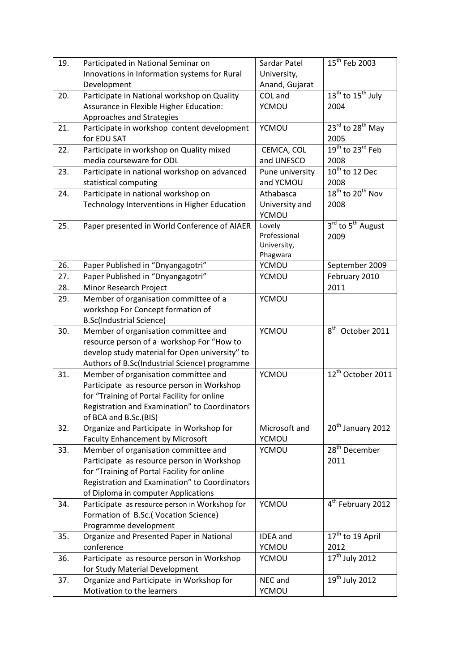| 19. | Participated in National Seminar on            | Sardar Patel    | $15th$ Feb 2003                           |
|-----|------------------------------------------------|-----------------|-------------------------------------------|
|     | Innovations in Information systems for Rural   | University,     |                                           |
|     |                                                |                 |                                           |
|     | Development                                    | Anand, Gujarat  |                                           |
| 20. | Participate in National workshop on Quality    | COL and         | $13th$ to $15th$ July                     |
|     | Assurance in Flexible Higher Education:        | <b>YCMOU</b>    | 2004                                      |
|     | Approaches and Strategies                      |                 |                                           |
| 21. | Participate in workshop content development    | <b>YCMOU</b>    | $23^{\text{rd}}$ to $28^{\text{th}}$ May  |
|     | for EDU SAT                                    |                 | 2005                                      |
| 22. | Participate in workshop on Quality mixed       | CEMCA, COL      | 19 <sup>th</sup> to 23 <sup>rd</sup> Feb  |
|     | media courseware for ODL                       | and UNESCO      | 2008                                      |
| 23. | Participate in national workshop on advanced   | Pune university | $10^{th}$ to 12 Dec                       |
|     | statistical computing                          | and YCMOU       | 2008                                      |
| 24. | Participate in national workshop on            | Athabasca       | $18^{th}$ to $20^{th}$ Nov                |
|     | Technology Interventions in Higher Education   | University and  | 2008                                      |
|     |                                                | <b>YCMOU</b>    |                                           |
| 25. | Paper presented in World Conference of AIAER   | Lovely          | 3 <sup>rd</sup> to 5 <sup>th</sup> August |
|     |                                                | Professional    | 2009                                      |
|     |                                                | University,     |                                           |
|     |                                                | Phagwara        |                                           |
| 26. | Paper Published in "Dnyangagotri"              | YCMOU           | September 2009                            |
| 27. | Paper Published in "Dnyangagotri"              | YCMOU           | February 2010                             |
| 28. | Minor Research Project                         |                 | 2011                                      |
| 29. | Member of organisation committee of a          | <b>YCMOU</b>    |                                           |
|     | workshop For Concept formation of              |                 |                                           |
|     | <b>B.Sc(Industrial Science)</b>                |                 |                                           |
| 30. | Member of organisation committee and           | <b>YCMOU</b>    | 8 <sup>th</sup> October 2011              |
|     | resource person of a workshop For "How to      |                 |                                           |
|     | develop study material for Open university" to |                 |                                           |
|     | Authors of B.Sc(Industrial Science) programme  |                 |                                           |
| 31. | Member of organisation committee and           | YCMOU           | 12 <sup>th</sup> October 2011             |
|     | Participate as resource person in Workshop     |                 |                                           |
|     | for "Training of Portal Facility for online    |                 |                                           |
|     | Registration and Examination" to Coordinators  |                 |                                           |
|     | of BCA and B.Sc.(BIS)                          |                 |                                           |
| 32. | Organize and Participate in Workshop for       | Microsoft and   | 20 <sup>th</sup> January 2012             |
|     | <b>Faculty Enhancement by Microsoft</b>        | YCMOU           |                                           |
| 33. | Member of organisation committee and           | YCMOU           | 28 <sup>th</sup> December                 |
|     | Participate as resource person in Workshop     |                 | 2011                                      |
|     | for "Training of Portal Facility for online    |                 |                                           |
|     | Registration and Examination" to Coordinators  |                 |                                           |
|     | of Diploma in computer Applications            |                 |                                           |
|     |                                                | <b>YCMOU</b>    | 4 <sup>th</sup> February 2012             |
| 34. | Participate as resource person in Workshop for |                 |                                           |
|     | Formation of B.Sc.(Vocation Science)           |                 |                                           |
|     | Programme development                          |                 |                                           |
| 35. | Organize and Presented Paper in National       | <b>IDEA</b> and | $17th$ to 19 April                        |
|     | conference                                     | YCMOU           | 2012                                      |
| 36. | Participate as resource person in Workshop     | YCMOU           | 17 <sup>th</sup> July 2012                |
|     | for Study Material Development                 |                 |                                           |
| 37. | Organize and Participate in Workshop for       | NEC and         | $19^{th}$ July 2012                       |
|     | Motivation to the learners                     | YCMOU           |                                           |